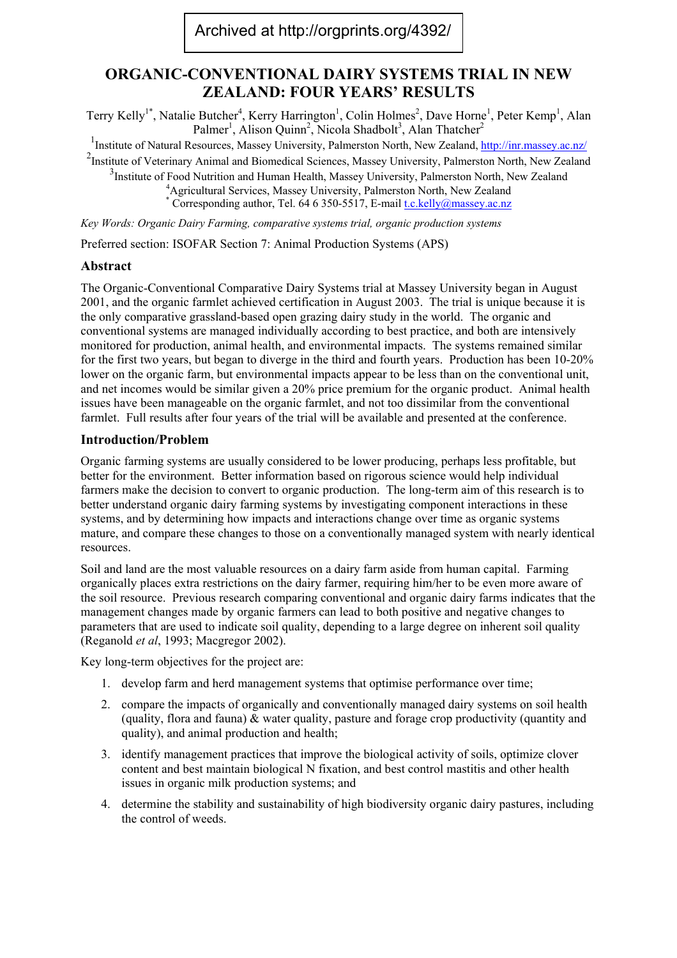# **ORGANIC-CONVENTIONAL DAIRY SYSTEMS TRIAL IN NEW ZEALAND: FOUR YEARS' RESULTS**

Terry Kelly<sup>1\*</sup>, Natalie Butcher<sup>4</sup>, Kerry Harrington<sup>1</sup>, Colin Holmes<sup>2</sup>, Dave Horne<sup>1</sup>, Peter Kemp<sup>1</sup>, Alan Palmer<sup>1</sup>, Alison Quinn<sup>2</sup>, Nicola Shadbolt<sup>3</sup>, Alan Thatcher<sup>2</sup>

<sup>1</sup>Institute of Natural Resources, Massey University, Palmerston North, New Zealand, <http://inr.massey.ac.nz/>

<sup>2</sup>Institute of Veterinary Animal and Biomedical Sciences, Massey University, Palmerston North, New Zealand <sup>3</sup>Institute of Food Nutrition and Human Health, Massey University, Palmerston North, New Zealand  $\frac{4 \text{ A critical}}{4 \text{ critical}}$  Services, Massey University, Palmerston North, New Zealand

<sup>4</sup> Agricultural Services, Massey University, Palmerston North, New Zealand  $*$  Corresponding author, Tel. 64 6 350-5517, E-mail *t.c.kelly@massey.ac.nz* 

*Key Words: Organic Dairy Farming, comparative systems trial, organic production systems* 

Preferred section: ISOFAR Section 7: Animal Production Systems (APS)

# **Abstract**

The Organic-Conventional Comparative Dairy Systems trial at Massey University began in August 2001, and the organic farmlet achieved certification in August 2003. The trial is unique because it is the only comparative grassland-based open grazing dairy study in the world. The organic and conventional systems are managed individually according to best practice, and both are intensively monitored for production, animal health, and environmental impacts. The systems remained similar for the first two years, but began to diverge in the third and fourth years. Production has been 10-20% lower on the organic farm, but environmental impacts appear to be less than on the conventional unit, and net incomes would be similar given a 20% price premium for the organic product. Animal health issues have been manageable on the organic farmlet, and not too dissimilar from the conventional farmlet. Full results after four years of the trial will be available and presented at the conference.

### **Introduction/Problem**

Organic farming systems are usually considered to be lower producing, perhaps less profitable, but better for the environment. Better information based on rigorous science would help individual farmers make the decision to convert to organic production. The long-term aim of this research is to better understand organic dairy farming systems by investigating component interactions in these systems, and by determining how impacts and interactions change over time as organic systems mature, and compare these changes to those on a conventionally managed system with nearly identical resources.

Soil and land are the most valuable resources on a dairy farm aside from human capital. Farming organically places extra restrictions on the dairy farmer, requiring him/her to be even more aware of the soil resource. Previous research comparing conventional and organic dairy farms indicates that the management changes made by organic farmers can lead to both positive and negative changes to parameters that are used to indicate soil quality, depending to a large degree on inherent soil quality (Reganold *et al*, 1993; Macgregor 2002).

Key long-term objectives for the project are:

- 1. develop farm and herd management systems that optimise performance over time;
- 2. compare the impacts of organically and conventionally managed dairy systems on soil health (quality, flora and fauna) & water quality, pasture and forage crop productivity (quantity and quality), and animal production and health;
- 3. identify management practices that improve the biological activity of soils, optimize clover content and best maintain biological N fixation, and best control mastitis and other health issues in organic milk production systems; and
- 4. determine the stability and sustainability of high biodiversity organic dairy pastures, including the control of weeds.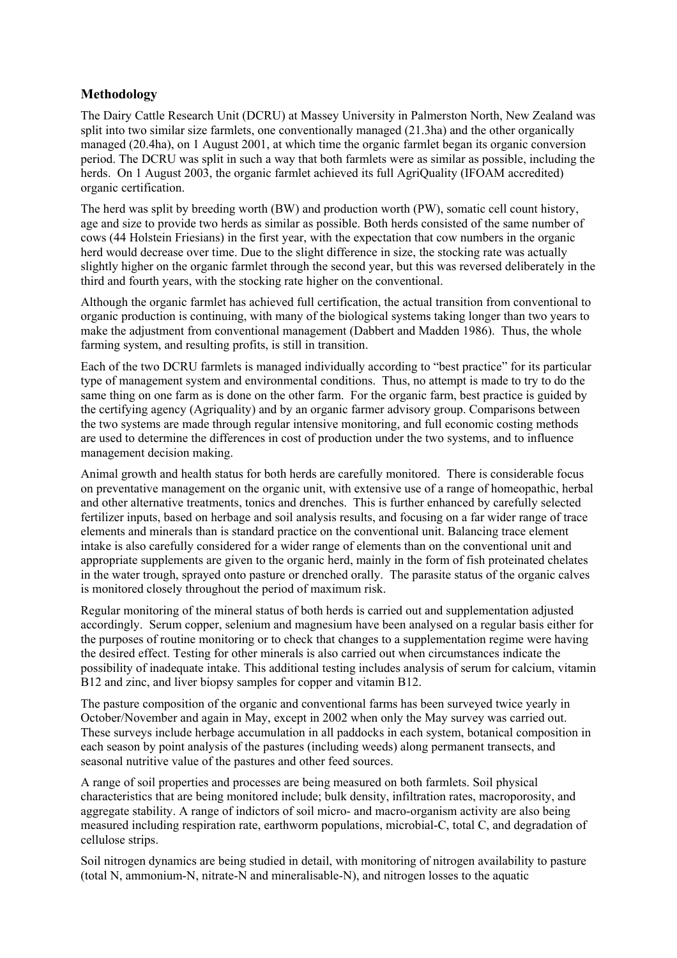## **Methodology**

The Dairy Cattle Research Unit (DCRU) at Massey University in Palmerston North, New Zealand was split into two similar size farmlets, one conventionally managed (21.3ha) and the other organically managed (20.4ha), on 1 August 2001, at which time the organic farmlet began its organic conversion period. The DCRU was split in such a way that both farmlets were as similar as possible, including the herds. On 1 August 2003, the organic farmlet achieved its full AgriQuality (IFOAM accredited) organic certification.

The herd was split by breeding worth (BW) and production worth (PW), somatic cell count history, age and size to provide two herds as similar as possible. Both herds consisted of the same number of cows (44 Holstein Friesians) in the first year, with the expectation that cow numbers in the organic herd would decrease over time. Due to the slight difference in size, the stocking rate was actually slightly higher on the organic farmlet through the second year, but this was reversed deliberately in the third and fourth years, with the stocking rate higher on the conventional.

Although the organic farmlet has achieved full certification, the actual transition from conventional to organic production is continuing, with many of the biological systems taking longer than two years to make the adjustment from conventional management (Dabbert and Madden 1986). Thus, the whole farming system, and resulting profits, is still in transition.

Each of the two DCRU farmlets is managed individually according to "best practice" for its particular type of management system and environmental conditions. Thus, no attempt is made to try to do the same thing on one farm as is done on the other farm. For the organic farm, best practice is guided by the certifying agency (Agriquality) and by an organic farmer advisory group. Comparisons between the two systems are made through regular intensive monitoring, and full economic costing methods are used to determine the differences in cost of production under the two systems, and to influence management decision making.

Animal growth and health status for both herds are carefully monitored. There is considerable focus on preventative management on the organic unit, with extensive use of a range of homeopathic, herbal and other alternative treatments, tonics and drenches. This is further enhanced by carefully selected fertilizer inputs, based on herbage and soil analysis results, and focusing on a far wider range of trace elements and minerals than is standard practice on the conventional unit. Balancing trace element intake is also carefully considered for a wider range of elements than on the conventional unit and appropriate supplements are given to the organic herd, mainly in the form of fish proteinated chelates in the water trough, sprayed onto pasture or drenched orally. The parasite status of the organic calves is monitored closely throughout the period of maximum risk.

Regular monitoring of the mineral status of both herds is carried out and supplementation adjusted accordingly. Serum copper, selenium and magnesium have been analysed on a regular basis either for the purposes of routine monitoring or to check that changes to a supplementation regime were having the desired effect. Testing for other minerals is also carried out when circumstances indicate the possibility of inadequate intake. This additional testing includes analysis of serum for calcium, vitamin B12 and zinc, and liver biopsy samples for copper and vitamin B12.

The pasture composition of the organic and conventional farms has been surveyed twice yearly in October/November and again in May, except in 2002 when only the May survey was carried out. These surveys include herbage accumulation in all paddocks in each system, botanical composition in each season by point analysis of the pastures (including weeds) along permanent transects, and seasonal nutritive value of the pastures and other feed sources.

A range of soil properties and processes are being measured on both farmlets. Soil physical characteristics that are being monitored include; bulk density, infiltration rates, macroporosity, and aggregate stability. A range of indictors of soil micro- and macro-organism activity are also being measured including respiration rate, earthworm populations, microbial-C, total C, and degradation of cellulose strips.

Soil nitrogen dynamics are being studied in detail, with monitoring of nitrogen availability to pasture (total N, ammonium-N, nitrate-N and mineralisable-N), and nitrogen losses to the aquatic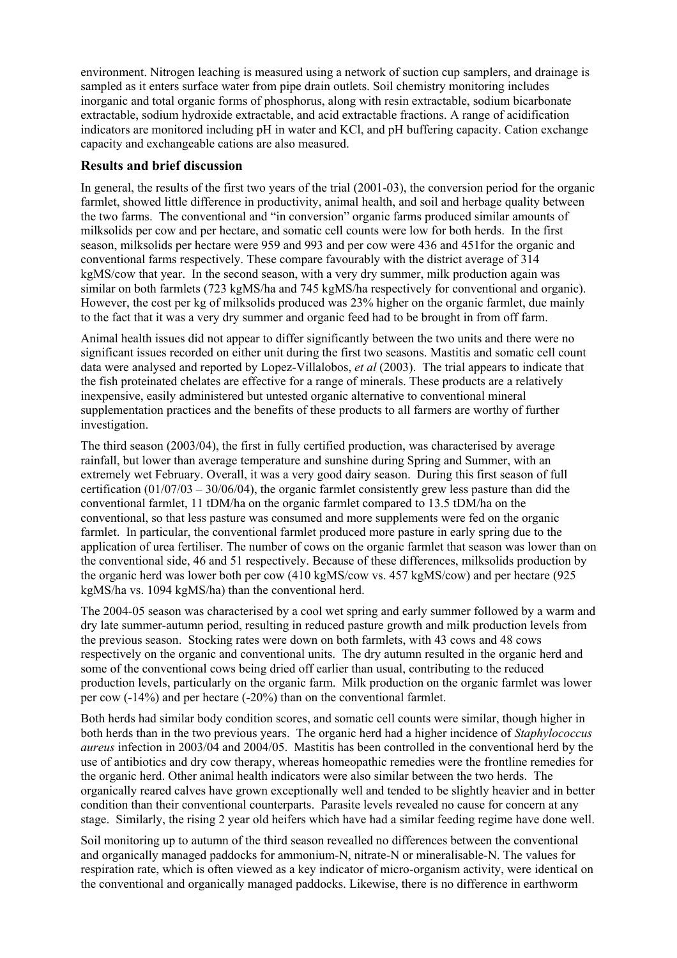environment. Nitrogen leaching is measured using a network of suction cup samplers, and drainage is sampled as it enters surface water from pipe drain outlets. Soil chemistry monitoring includes inorganic and total organic forms of phosphorus, along with resin extractable, sodium bicarbonate extractable, sodium hydroxide extractable, and acid extractable fractions. A range of acidification indicators are monitored including pH in water and KCl, and pH buffering capacity. Cation exchange capacity and exchangeable cations are also measured.

# **Results and brief discussion**

In general, the results of the first two years of the trial (2001-03), the conversion period for the organic farmlet, showed little difference in productivity, animal health, and soil and herbage quality between the two farms. The conventional and "in conversion" organic farms produced similar amounts of milksolids per cow and per hectare, and somatic cell counts were low for both herds. In the first season, milksolids per hectare were 959 and 993 and per cow were 436 and 451for the organic and conventional farms respectively. These compare favourably with the district average of 314 kgMS/cow that year. In the second season, with a very dry summer, milk production again was similar on both farmlets (723 kgMS/ha and 745 kgMS/ha respectively for conventional and organic). However, the cost per kg of milksolids produced was 23% higher on the organic farmlet, due mainly to the fact that it was a very dry summer and organic feed had to be brought in from off farm.

Animal health issues did not appear to differ significantly between the two units and there were no significant issues recorded on either unit during the first two seasons. Mastitis and somatic cell count data were analysed and reported by Lopez-Villalobos, *et al* (2003). The trial appears to indicate that the fish proteinated chelates are effective for a range of minerals. These products are a relatively inexpensive, easily administered but untested organic alternative to conventional mineral supplementation practices and the benefits of these products to all farmers are worthy of further investigation.

The third season (2003/04), the first in fully certified production, was characterised by average rainfall, but lower than average temperature and sunshine during Spring and Summer, with an extremely wet February. Overall, it was a very good dairy season. During this first season of full certification  $(01/07/03 - 30/06/04)$ , the organic farmlet consistently grew less pasture than did the conventional farmlet, 11 tDM/ha on the organic farmlet compared to 13.5 tDM/ha on the conventional, so that less pasture was consumed and more supplements were fed on the organic farmlet. In particular, the conventional farmlet produced more pasture in early spring due to the application of urea fertiliser. The number of cows on the organic farmlet that season was lower than on the conventional side, 46 and 51 respectively. Because of these differences, milksolids production by the organic herd was lower both per cow (410 kgMS/cow vs. 457 kgMS/cow) and per hectare (925 kgMS/ha vs. 1094 kgMS/ha) than the conventional herd.

The 2004-05 season was characterised by a cool wet spring and early summer followed by a warm and dry late summer-autumn period, resulting in reduced pasture growth and milk production levels from the previous season. Stocking rates were down on both farmlets, with 43 cows and 48 cows respectively on the organic and conventional units. The dry autumn resulted in the organic herd and some of the conventional cows being dried off earlier than usual, contributing to the reduced production levels, particularly on the organic farm. Milk production on the organic farmlet was lower per cow (-14%) and per hectare (-20%) than on the conventional farmlet.

Both herds had similar body condition scores, and somatic cell counts were similar, though higher in both herds than in the two previous years. The organic herd had a higher incidence of *Staphylococcus aureus* infection in 2003/04 and 2004/05. Mastitis has been controlled in the conventional herd by the use of antibiotics and dry cow therapy, whereas homeopathic remedies were the frontline remedies for the organic herd. Other animal health indicators were also similar between the two herds. The organically reared calves have grown exceptionally well and tended to be slightly heavier and in better condition than their conventional counterparts. Parasite levels revealed no cause for concern at any stage. Similarly, the rising 2 year old heifers which have had a similar feeding regime have done well.

Soil monitoring up to autumn of the third season revealled no differences between the conventional and organically managed paddocks for ammonium-N, nitrate-N or mineralisable-N. The values for respiration rate, which is often viewed as a key indicator of micro-organism activity, were identical on the conventional and organically managed paddocks. Likewise, there is no difference in earthworm